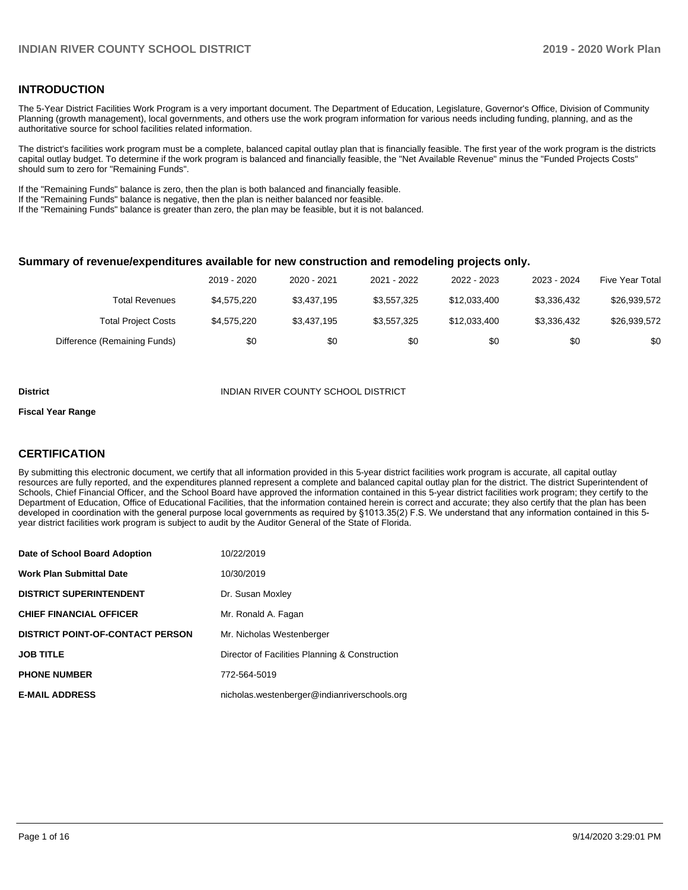#### **INTRODUCTION**

The 5-Year District Facilities Work Program is a very important document. The Department of Education, Legislature, Governor's Office, Division of Community Planning (growth management), local governments, and others use the work program information for various needs including funding, planning, and as the authoritative source for school facilities related information.

The district's facilities work program must be a complete, balanced capital outlay plan that is financially feasible. The first year of the work program is the districts capital outlay budget. To determine if the work program is balanced and financially feasible, the "Net Available Revenue" minus the "Funded Projects Costs" should sum to zero for "Remaining Funds".

If the "Remaining Funds" balance is zero, then the plan is both balanced and financially feasible.

If the "Remaining Funds" balance is negative, then the plan is neither balanced nor feasible.

If the "Remaining Funds" balance is greater than zero, the plan may be feasible, but it is not balanced.

#### **Summary of revenue/expenditures available for new construction and remodeling projects only.**

|                              | 2019 - 2020 | 2020 - 2021 | 2021 - 2022 | 2022 - 2023  | 2023 - 2024 | <b>Five Year Total</b> |
|------------------------------|-------------|-------------|-------------|--------------|-------------|------------------------|
| Total Revenues               | \$4.575.220 | \$3,437,195 | \$3,557,325 | \$12.033.400 | \$3.336.432 | \$26,939,572           |
| <b>Total Project Costs</b>   | \$4,575,220 | \$3,437,195 | \$3,557,325 | \$12.033.400 | \$3.336.432 | \$26,939,572           |
| Difference (Remaining Funds) | \$0         | \$0         | \$0         | \$0          | \$0         | \$0                    |

#### **District INDIAN RIVER COUNTY SCHOOL DISTRICT**

#### **Fiscal Year Range**

#### **CERTIFICATION**

By submitting this electronic document, we certify that all information provided in this 5-year district facilities work program is accurate, all capital outlay resources are fully reported, and the expenditures planned represent a complete and balanced capital outlay plan for the district. The district Superintendent of Schools, Chief Financial Officer, and the School Board have approved the information contained in this 5-year district facilities work program; they certify to the Department of Education, Office of Educational Facilities, that the information contained herein is correct and accurate; they also certify that the plan has been developed in coordination with the general purpose local governments as required by §1013.35(2) F.S. We understand that any information contained in this 5 year district facilities work program is subject to audit by the Auditor General of the State of Florida.

| Date of School Board Adoption           | 10/22/2019                                     |
|-----------------------------------------|------------------------------------------------|
| <b>Work Plan Submittal Date</b>         | 10/30/2019                                     |
| <b>DISTRICT SUPERINTENDENT</b>          | Dr. Susan Moxley                               |
| <b>CHIEF FINANCIAL OFFICER</b>          | Mr. Ronald A. Fagan                            |
| <b>DISTRICT POINT-OF-CONTACT PERSON</b> | Mr. Nicholas Westenberger                      |
| <b>JOB TITLE</b>                        | Director of Facilities Planning & Construction |
| <b>PHONE NUMBER</b>                     | 772-564-5019                                   |
| <b>E-MAIL ADDRESS</b>                   | nicholas.westenberger@indianriverschools.org   |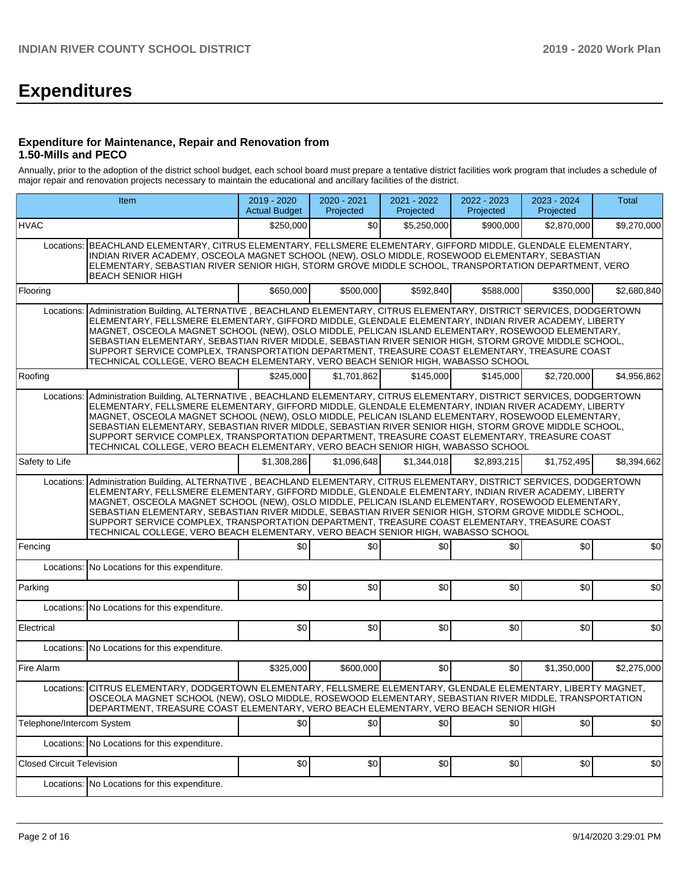# **Expenditures**

#### **Expenditure for Maintenance, Repair and Renovation from 1.50-Mills and PECO**

Annually, prior to the adoption of the district school budget, each school board must prepare a tentative district facilities work program that includes a schedule of major repair and renovation projects necessary to maintain the educational and ancillary facilities of the district.

|                                  | Item                                                                                                                                                                                                                                                                                                                                                                                                                                                                                                                                                                                                                    | 2019 - 2020<br><b>Actual Budget</b> | 2020 - 2021<br>Projected | 2021 - 2022<br>Projected | 2022 - 2023<br>Projected | 2023 - 2024<br>Projected | Total       |  |  |  |  |
|----------------------------------|-------------------------------------------------------------------------------------------------------------------------------------------------------------------------------------------------------------------------------------------------------------------------------------------------------------------------------------------------------------------------------------------------------------------------------------------------------------------------------------------------------------------------------------------------------------------------------------------------------------------------|-------------------------------------|--------------------------|--------------------------|--------------------------|--------------------------|-------------|--|--|--|--|
| <b>HVAC</b>                      |                                                                                                                                                                                                                                                                                                                                                                                                                                                                                                                                                                                                                         | \$250,000                           | \$0                      | \$5,250,000              | \$900,000                | \$2,870,000              | \$9,270,000 |  |  |  |  |
|                                  | Locations: BEACHLAND ELEMENTARY, CITRUS ELEMENTARY, FELLSMERE ELEMENTARY, GIFFORD MIDDLE, GLENDALE ELEMENTARY,<br>INDIAN RIVER ACADEMY, OSCEOLA MAGNET SCHOOL (NEW), OSLO MIDDLE, ROSEWOOD ELEMENTARY, SEBASTIAN<br>ELEMENTARY, SEBASTIAN RIVER SENIOR HIGH, STORM GROVE MIDDLE SCHOOL, TRANSPORTATION DEPARTMENT, VERO<br><b>BEACH SENIOR HIGH</b>                                                                                                                                                                                                                                                                     |                                     |                          |                          |                          |                          |             |  |  |  |  |
| Flooring                         |                                                                                                                                                                                                                                                                                                                                                                                                                                                                                                                                                                                                                         | \$650,000                           | \$500,000                | \$592,840                | \$588,000                | \$350,000                | \$2,680,840 |  |  |  |  |
| Locations:                       | Administration Building, ALTERNATIVE, BEACHLAND ELEMENTARY, CITRUS ELEMENTARY, DISTRICT SERVICES, DODGERTOWN<br>ELEMENTARY, FELLSMERE ELEMENTARY, GIFFORD MIDDLE, GLENDALE ELEMENTARY, INDIAN RIVER ACADEMY, LIBERTY<br>MAGNET, OSCEOLA MAGNET SCHOOL (NEW), OSLO MIDDLE, PELICAN ISLAND ELEMENTARY, ROSEWOOD ELEMENTARY,<br>SEBASTIAN ELEMENTARY, SEBASTIAN RIVER MIDDLE, SEBASTIAN RIVER SENIOR HIGH, STORM GROVE MIDDLE SCHOOL,<br>SUPPORT SERVICE COMPLEX, TRANSPORTATION DEPARTMENT, TREASURE COAST ELEMENTARY, TREASURE COAST<br>TECHNICAL COLLEGE, VERO BEACH ELEMENTARY, VERO BEACH SENIOR HIGH, WABASSO SCHOOL |                                     |                          |                          |                          |                          |             |  |  |  |  |
| Roofing                          |                                                                                                                                                                                                                                                                                                                                                                                                                                                                                                                                                                                                                         | \$245,000                           | \$1,701,862              | \$145,000                | \$145,000                | \$2,720,000              | \$4,956,862 |  |  |  |  |
| Locations:                       | Administration Building, ALTERNATIVE, BEACHLAND ELEMENTARY, CITRUS ELEMENTARY, DISTRICT SERVICES, DODGERTOWN<br>ELEMENTARY, FELLSMERE ELEMENTARY, GIFFORD MIDDLE, GLENDALE ELEMENTARY, INDIAN RIVER ACADEMY, LIBERTY<br>MAGNET, OSCEOLA MAGNET SCHOOL (NEW), OSLO MIDDLE, PELICAN ISLAND ELEMENTARY, ROSEWOOD ELEMENTARY,<br>SEBASTIAN ELEMENTARY, SEBASTIAN RIVER MIDDLE, SEBASTIAN RIVER SENIOR HIGH, STORM GROVE MIDDLE SCHOOL,<br>SUPPORT SERVICE COMPLEX, TRANSPORTATION DEPARTMENT, TREASURE COAST ELEMENTARY, TREASURE COAST<br>TECHNICAL COLLEGE, VERO BEACH ELEMENTARY, VERO BEACH SENIOR HIGH, WABASSO SCHOOL |                                     |                          |                          |                          |                          |             |  |  |  |  |
| Safety to Life                   |                                                                                                                                                                                                                                                                                                                                                                                                                                                                                                                                                                                                                         | \$1,308,286                         | \$1,096,648              | \$1,344,018              | \$2.893.215              | \$1,752,495              | \$8,394,662 |  |  |  |  |
| Locations:                       | Administration Building, ALTERNATIVE, BEACHLAND ELEMENTARY, CITRUS ELEMENTARY, DISTRICT SERVICES, DODGERTOWN<br>ELEMENTARY, FELLSMERE ELEMENTARY, GIFFORD MIDDLE, GLENDALE ELEMENTARY, INDIAN RIVER ACADEMY, LIBERTY<br>MAGNET, OSCEOLA MAGNET SCHOOL (NEW), OSLO MIDDLE, PELICAN ISLAND ELEMENTARY, ROSEWOOD ELEMENTARY,<br>SEBASTIAN ELEMENTARY, SEBASTIAN RIVER MIDDLE, SEBASTIAN RIVER SENIOR HIGH, STORM GROVE MIDDLE SCHOOL,<br>SUPPORT SERVICE COMPLEX, TRANSPORTATION DEPARTMENT, TREASURE COAST ELEMENTARY, TREASURE COAST<br>TECHNICAL COLLEGE, VERO BEACH ELEMENTARY, VERO BEACH SENIOR HIGH, WABASSO SCHOOL |                                     |                          |                          |                          |                          |             |  |  |  |  |
| Fencing                          |                                                                                                                                                                                                                                                                                                                                                                                                                                                                                                                                                                                                                         | \$0                                 | \$0                      | \$0                      | \$0                      | \$0                      | \$0         |  |  |  |  |
|                                  | Locations: No Locations for this expenditure.                                                                                                                                                                                                                                                                                                                                                                                                                                                                                                                                                                           |                                     |                          |                          |                          |                          |             |  |  |  |  |
| Parking                          |                                                                                                                                                                                                                                                                                                                                                                                                                                                                                                                                                                                                                         | \$0                                 | \$0                      | \$0                      | \$0                      | \$0                      | \$0         |  |  |  |  |
|                                  | Locations: No Locations for this expenditure.                                                                                                                                                                                                                                                                                                                                                                                                                                                                                                                                                                           |                                     |                          |                          |                          |                          |             |  |  |  |  |
| Electrical                       |                                                                                                                                                                                                                                                                                                                                                                                                                                                                                                                                                                                                                         | \$0                                 | \$0                      | \$0                      | \$0                      | \$0                      | \$0         |  |  |  |  |
|                                  | Locations: No Locations for this expenditure.                                                                                                                                                                                                                                                                                                                                                                                                                                                                                                                                                                           |                                     |                          |                          |                          |                          |             |  |  |  |  |
| Fire Alarm                       |                                                                                                                                                                                                                                                                                                                                                                                                                                                                                                                                                                                                                         | \$325,000                           | \$600,000                | \$0                      | \$0                      | \$1,350,000              | \$2,275,000 |  |  |  |  |
|                                  | Locations: CITRUS ELEMENTARY, DODGERTOWN ELEMENTARY, FELLSMERE ELEMENTARY, GLENDALE ELEMENTARY, LIBERTY MAGNET,<br>OSCEOLA MAGNET SCHOOL (NEW), OSLO MIDDLE, ROSEWOOD ELEMENTARY, SEBASTIAN RIVER MIDDLE, TRANSPORTATION<br>DEPARTMENT, TREASURE COAST ELEMENTARY, VERO BEACH ELEMENTARY, VERO BEACH SENIOR HIGH                                                                                                                                                                                                                                                                                                        |                                     |                          |                          |                          |                          |             |  |  |  |  |
| Telephone/Intercom System        |                                                                                                                                                                                                                                                                                                                                                                                                                                                                                                                                                                                                                         | \$0                                 | \$0                      | \$0                      | \$0                      | \$0                      | \$0         |  |  |  |  |
|                                  | Locations: No Locations for this expenditure.                                                                                                                                                                                                                                                                                                                                                                                                                                                                                                                                                                           |                                     |                          |                          |                          |                          |             |  |  |  |  |
| <b>Closed Circuit Television</b> |                                                                                                                                                                                                                                                                                                                                                                                                                                                                                                                                                                                                                         | \$0                                 | \$0                      | \$0                      | \$0                      | \$0                      | \$0         |  |  |  |  |
|                                  | Locations: No Locations for this expenditure.                                                                                                                                                                                                                                                                                                                                                                                                                                                                                                                                                                           |                                     |                          |                          |                          |                          |             |  |  |  |  |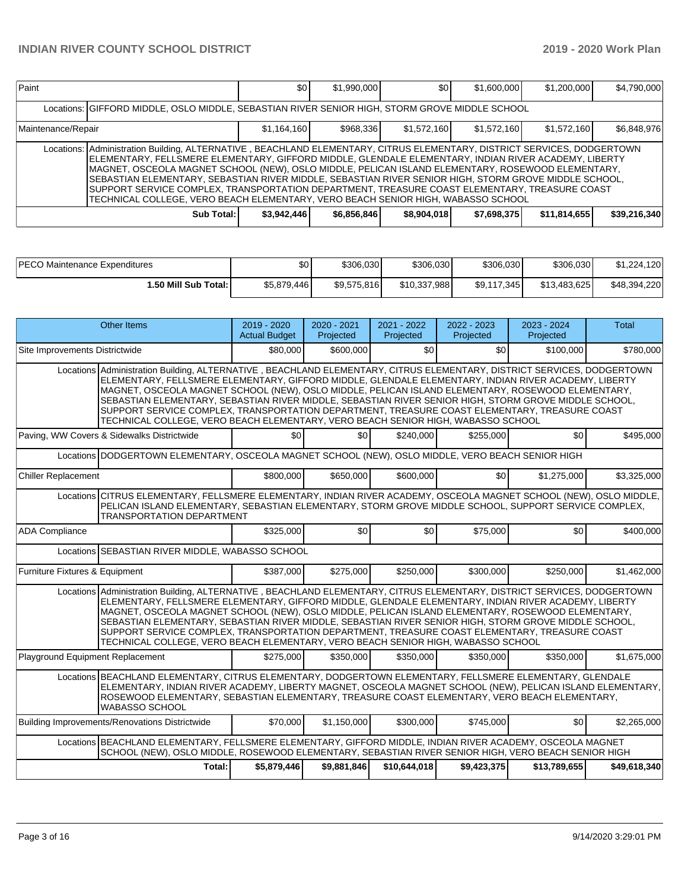| Paint              |                                                                                                                                                                                                                                                                                                                                                                                                                                                                                                                                                                                                                                      | \$0         | \$1,990,000 | <b>SO</b>   | \$1,600,000 | \$1,200,000  | \$4,790,000  |  |  |  |
|--------------------|--------------------------------------------------------------------------------------------------------------------------------------------------------------------------------------------------------------------------------------------------------------------------------------------------------------------------------------------------------------------------------------------------------------------------------------------------------------------------------------------------------------------------------------------------------------------------------------------------------------------------------------|-------------|-------------|-------------|-------------|--------------|--------------|--|--|--|
|                    | Locations: GIFFORD MIDDLE, OSLO MIDDLE, SEBASTIAN RIVER SENIOR HIGH, STORM GROVE MIDDLE SCHOOL                                                                                                                                                                                                                                                                                                                                                                                                                                                                                                                                       |             |             |             |             |              |              |  |  |  |
| Maintenance/Repair |                                                                                                                                                                                                                                                                                                                                                                                                                                                                                                                                                                                                                                      | \$1,164,160 | \$968.336   | \$1,572,160 | \$1,572,160 | \$1,572,160  | \$6,848,976  |  |  |  |
|                    | Locations:   Administration Building, ALTERNATIVE, BEACHLAND ELEMENTARY, CITRUS ELEMENTARY, DISTRICT SERVICES, DODGERTOWN<br>ELEMENTARY, FELLSMERE ELEMENTARY, GIFFORD MIDDLE, GLENDALE ELEMENTARY, INDIAN RIVER ACADEMY, LIBERTY<br>MAGNET, OSCEOLA MAGNET SCHOOL (NEW), OSLO MIDDLE, PELICAN ISLAND ELEMENTARY, ROSEWOOD ELEMENTARY,<br>SEBASTIAN ELEMENTARY, SEBASTIAN RIVER MIDDLE, SEBASTIAN RIVER SENIOR HIGH, STORM GROVE MIDDLE SCHOOL,<br>SUPPORT SERVICE COMPLEX, TRANSPORTATION DEPARTMENT, TREASURE COAST ELEMENTARY, TREASURE COAST<br>TECHNICAL COLLEGE, VERO BEACH ELEMENTARY, VERO BEACH SENIOR HIGH, WABASSO SCHOOL |             |             |             |             |              |              |  |  |  |
|                    | Sub Total:                                                                                                                                                                                                                                                                                                                                                                                                                                                                                                                                                                                                                           | \$3,942,446 | \$6,856,846 | \$8,904,018 | \$7,698,375 | \$11,814,655 | \$39,216,340 |  |  |  |

| <b>PECO Maintenance Expenditures</b> | ا 30        | \$306,030   | \$306,030    | \$306,030   | \$306,030    | \$1,224,120  |
|--------------------------------------|-------------|-------------|--------------|-------------|--------------|--------------|
| ا :50 Mill Sub Total.                | \$5,879,446 | \$9,575,816 | \$10,337,988 | \$9,117,345 | \$13,483,625 | \$48,394,220 |

|                                  | <b>Other Items</b>                                                                                                                                                                                                                                                                                                                                                                                                                                                                                                                                                                                                                | 2019 - 2020<br><b>Actual Budget</b> | 2020 - 2021<br>Projected | 2021 - 2022<br>Projected | 2022 - 2023<br>Projected | 2023 - 2024<br>Projected | <b>Total</b> |  |  |  |
|----------------------------------|-----------------------------------------------------------------------------------------------------------------------------------------------------------------------------------------------------------------------------------------------------------------------------------------------------------------------------------------------------------------------------------------------------------------------------------------------------------------------------------------------------------------------------------------------------------------------------------------------------------------------------------|-------------------------------------|--------------------------|--------------------------|--------------------------|--------------------------|--------------|--|--|--|
| Site Improvements Districtwide   |                                                                                                                                                                                                                                                                                                                                                                                                                                                                                                                                                                                                                                   | \$80,000                            | \$600,000                | \$0                      | \$0                      | \$100,000                | \$780,000    |  |  |  |
|                                  | Locations Administration Building, ALTERNATIVE, BEACHLAND ELEMENTARY, CITRUS ELEMENTARY, DISTRICT SERVICES, DODGERTOWN<br>ELEMENTARY, FELLSMERE ELEMENTARY, GIFFORD MIDDLE, GLENDALE ELEMENTARY, INDIAN RIVER ACADEMY, LIBERTY<br>MAGNET, OSCEOLA MAGNET SCHOOL (NEW), OSLO MIDDLE, PELICAN ISLAND ELEMENTARY, ROSEWOOD ELEMENTARY,<br>SEBASTIAN ELEMENTARY, SEBASTIAN RIVER MIDDLE, SEBASTIAN RIVER SENIOR HIGH, STORM GROVE MIDDLE SCHOOL,<br>SUPPORT SERVICE COMPLEX, TRANSPORTATION DEPARTMENT, TREASURE COAST ELEMENTARY, TREASURE COAST<br>TECHNICAL COLLEGE, VERO BEACH ELEMENTARY, VERO BEACH SENIOR HIGH, WABASSO SCHOOL |                                     |                          |                          |                          |                          |              |  |  |  |
|                                  | Paving, WW Covers & Sidewalks Districtwide                                                                                                                                                                                                                                                                                                                                                                                                                                                                                                                                                                                        | \$0                                 | \$0 <sub>1</sub>         | \$240,000                | \$255.000                | \$0                      | \$495,000    |  |  |  |
|                                  | Locations DODGERTOWN ELEMENTARY, OSCEOLA MAGNET SCHOOL (NEW), OSLO MIDDLE, VERO BEACH SENIOR HIGH                                                                                                                                                                                                                                                                                                                                                                                                                                                                                                                                 |                                     |                          |                          |                          |                          |              |  |  |  |
| <b>Chiller Replacement</b>       |                                                                                                                                                                                                                                                                                                                                                                                                                                                                                                                                                                                                                                   | \$800,000                           | \$650,000                | \$600,000                | \$0                      | \$1,275,000              | \$3,325,000  |  |  |  |
|                                  | Locations CITRUS ELEMENTARY, FELLSMERE ELEMENTARY, INDIAN RIVER ACADEMY, OSCEOLA MAGNET SCHOOL (NEW), OSLO MIDDLE,<br>PELICAN ISLAND ELEMENTARY, SEBASTIAN ELEMENTARY, STORM GROVE MIDDLE SCHOOL, SUPPORT SERVICE COMPLEX,<br><b>TRANSPORTATION DEPARTMENT</b>                                                                                                                                                                                                                                                                                                                                                                    |                                     |                          |                          |                          |                          |              |  |  |  |
| <b>ADA Compliance</b>            |                                                                                                                                                                                                                                                                                                                                                                                                                                                                                                                                                                                                                                   | \$325,000                           | \$0                      | \$0                      | \$75,000                 | \$0                      | \$400,000    |  |  |  |
|                                  | Locations SEBASTIAN RIVER MIDDLE, WABASSO SCHOOL                                                                                                                                                                                                                                                                                                                                                                                                                                                                                                                                                                                  |                                     |                          |                          |                          |                          |              |  |  |  |
| Furniture Fixtures & Equipment   |                                                                                                                                                                                                                                                                                                                                                                                                                                                                                                                                                                                                                                   | \$387,000                           | \$275,000                | \$250,000                | \$300.000                | \$250,000                | \$1,462,000  |  |  |  |
|                                  | Locations Administration Building, ALTERNATIVE, BEACHLAND ELEMENTARY, CITRUS ELEMENTARY, DISTRICT SERVICES, DODGERTOWN<br>ELEMENTARY, FELLSMERE ELEMENTARY, GIFFORD MIDDLE, GLENDALE ELEMENTARY, INDIAN RIVER ACADEMY, LIBERTY<br>MAGNET, OSCEOLA MAGNET SCHOOL (NEW), OSLO MIDDLE, PELICAN ISLAND ELEMENTARY, ROSEWOOD ELEMENTARY,<br>SEBASTIAN ELEMENTARY, SEBASTIAN RIVER MIDDLE, SEBASTIAN RIVER SENIOR HIGH, STORM GROVE MIDDLE SCHOOL,<br>SUPPORT SERVICE COMPLEX, TRANSPORTATION DEPARTMENT, TREASURE COAST ELEMENTARY, TREASURE COAST<br>TECHNICAL COLLEGE, VERO BEACH ELEMENTARY, VERO BEACH SENIOR HIGH, WABASSO SCHOOL |                                     |                          |                          |                          |                          |              |  |  |  |
| Playground Equipment Replacement |                                                                                                                                                                                                                                                                                                                                                                                                                                                                                                                                                                                                                                   | \$275,000                           | \$350,000                | \$350,000                | \$350,000                | \$350,000                | \$1,675,000  |  |  |  |
|                                  | Locations BEACHLAND ELEMENTARY, CITRUS ELEMENTARY, DODGERTOWN ELEMENTARY, FELLSMERE ELEMENTARY, GLENDALE<br>ELEMENTARY, INDIAN RIVER ACADEMY, LIBERTY MAGNET, OSCEOLA MAGNET SCHOOL (NEW), PELICAN ISLAND ELEMENTARY,<br>ROSEWOOD ELEMENTARY, SEBASTIAN ELEMENTARY, TREASURE COAST ELEMENTARY, VERO BEACH ELEMENTARY,<br><b>WABASSO SCHOOL</b>                                                                                                                                                                                                                                                                                    |                                     |                          |                          |                          |                          |              |  |  |  |
|                                  | Building Improvements/Renovations Districtwide                                                                                                                                                                                                                                                                                                                                                                                                                                                                                                                                                                                    | \$70,000                            | \$1,150,000              | \$300,000                | \$745,000                | \$0                      | \$2,265,000  |  |  |  |
|                                  | Locations BEACHLAND ELEMENTARY, FELLSMERE ELEMENTARY, GIFFORD MIDDLE, INDIAN RIVER ACADEMY, OSCEOLA MAGNET<br>SCHOOL (NEW), OSLO MIDDLE, ROSEWOOD ELEMENTARY, SEBASTIAN RIVER SENIOR HIGH, VERO BEACH SENIOR HIGH                                                                                                                                                                                                                                                                                                                                                                                                                 |                                     |                          |                          |                          |                          |              |  |  |  |
|                                  | Total:                                                                                                                                                                                                                                                                                                                                                                                                                                                                                                                                                                                                                            | \$5,879,446                         | \$9,881,846              | \$10,644,018             | \$9,423,375              | \$13,789,655             | \$49,618,340 |  |  |  |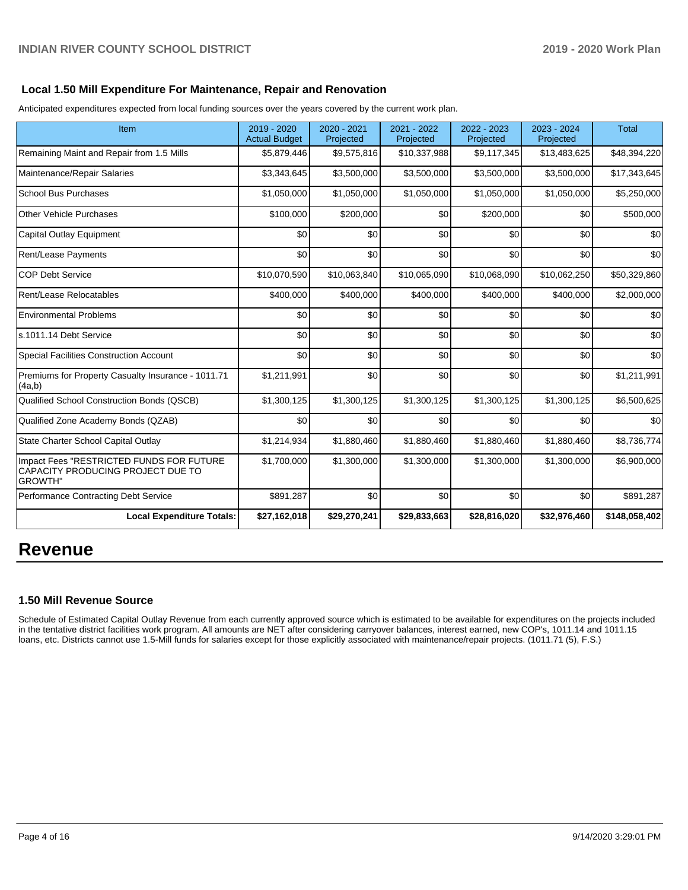### **Local 1.50 Mill Expenditure For Maintenance, Repair and Renovation**

Anticipated expenditures expected from local funding sources over the years covered by the current work plan.

| Item                                                                                            | 2019 - 2020<br><b>Actual Budget</b> | 2020 - 2021<br>Projected | 2021 - 2022<br>Projected | 2022 - 2023<br>Projected | 2023 - 2024<br>Projected | <b>Total</b>  |
|-------------------------------------------------------------------------------------------------|-------------------------------------|--------------------------|--------------------------|--------------------------|--------------------------|---------------|
| Remaining Maint and Repair from 1.5 Mills                                                       | \$5,879,446                         | \$9,575,816              | \$10,337,988             | \$9,117,345              | \$13,483,625             | \$48,394,220  |
| Maintenance/Repair Salaries                                                                     | \$3,343,645                         | \$3,500,000              | \$3,500,000              | \$3,500,000              | \$3,500,000              | \$17,343,645  |
| <b>School Bus Purchases</b>                                                                     | \$1,050,000                         | \$1,050,000              | \$1,050,000              | \$1,050,000              | \$1,050,000              | \$5,250,000   |
| Other Vehicle Purchases                                                                         | \$100,000                           | \$200,000                | \$0                      | \$200,000                | \$0                      | \$500,000     |
| Capital Outlay Equipment                                                                        | \$0                                 | \$0                      | \$0                      | \$0                      | \$0                      | \$0           |
| <b>Rent/Lease Payments</b>                                                                      | \$0                                 | \$0                      | \$0                      | \$0                      | \$0                      | \$0           |
| <b>COP Debt Service</b>                                                                         | \$10,070,590                        | \$10,063,840             | \$10,065,090             | \$10,068,090             | \$10,062,250             | \$50,329,860  |
| Rent/Lease Relocatables                                                                         | \$400,000                           | \$400,000                | \$400,000                | \$400,000                | \$400,000                | \$2,000,000   |
| <b>Environmental Problems</b>                                                                   | \$0                                 | \$0                      | \$0                      | \$0                      | \$0                      | \$0           |
| ls.1011.14 Debt Service                                                                         | \$0                                 | \$0                      | \$0                      | \$0                      | \$0                      | \$0           |
| Special Facilities Construction Account                                                         | \$0                                 | \$0                      | \$0                      | \$0                      | \$0                      | \$0           |
| Premiums for Property Casualty Insurance - 1011.71<br>(4a,b)                                    | \$1,211,991                         | \$0                      | \$0                      | \$0                      | \$0                      | \$1,211,991   |
| Qualified School Construction Bonds (QSCB)                                                      | \$1,300,125                         | \$1,300,125              | \$1,300,125              | \$1,300,125              | \$1,300,125              | \$6,500,625   |
| Qualified Zone Academy Bonds (QZAB)                                                             | \$0                                 | \$0                      | \$0                      | \$0                      | \$0                      | \$0           |
| State Charter School Capital Outlay                                                             | \$1,214,934                         | \$1,880,460              | \$1,880,460              | \$1,880,460              | \$1,880,460              | \$8,736,774   |
| Impact Fees "RESTRICTED FUNDS FOR FUTURE<br>CAPACITY PRODUCING PROJECT DUE TO<br><b>GROWTH"</b> | \$1,700,000                         | \$1,300,000              | \$1,300,000              | \$1,300,000              | \$1,300,000              | \$6,900,000   |
| Performance Contracting Debt Service                                                            | \$891,287                           | \$0                      | \$0                      | \$0                      | \$0                      | \$891,287     |
| <b>Local Expenditure Totals:</b>                                                                | \$27,162,018                        | \$29,270,241             | \$29,833,663             | \$28,816,020             | \$32,976,460             | \$148,058,402 |

# **Revenue**

## **1.50 Mill Revenue Source**

Schedule of Estimated Capital Outlay Revenue from each currently approved source which is estimated to be available for expenditures on the projects included in the tentative district facilities work program. All amounts are NET after considering carryover balances, interest earned, new COP's, 1011.14 and 1011.15 loans, etc. Districts cannot use 1.5-Mill funds for salaries except for those explicitly associated with maintenance/repair projects. (1011.71 (5), F.S.)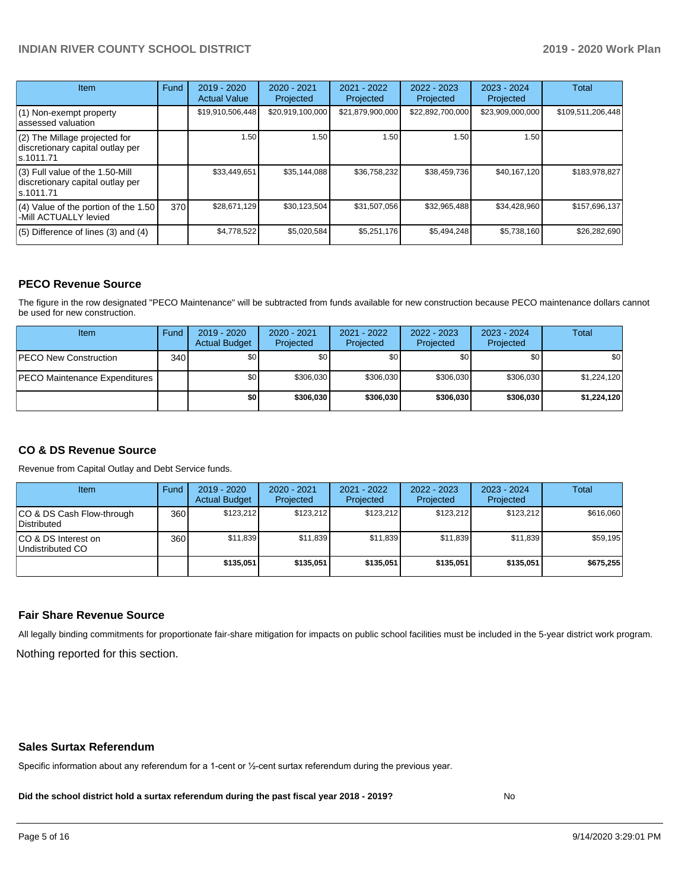| <b>Item</b>                                                                         | Fund | $2019 - 2020$<br><b>Actual Value</b> | $2020 - 2021$<br>Projected | 2021 - 2022<br>Projected | $2022 - 2023$<br>Projected | $2023 - 2024$<br>Projected | Total             |
|-------------------------------------------------------------------------------------|------|--------------------------------------|----------------------------|--------------------------|----------------------------|----------------------------|-------------------|
| (1) Non-exempt property<br>lassessed valuation                                      |      | \$19,910,506,448                     | \$20,919,100,000           | \$21,879,900,000         | \$22,892,700,000           | \$23,909,000,000           | \$109,511,206,448 |
| (2) The Millage projected for<br>discretionary capital outlay per<br>ls.1011.71     |      | 1.50                                 | 1.50                       | 1.50                     | 1.50                       | 1.50                       |                   |
| $(3)$ Full value of the 1.50-Mill<br>discretionary capital outlay per<br>ls.1011.71 |      | \$33,449,651                         | \$35,144,088               | \$36,758,232             | \$38,459,736               | \$40,167,120               | \$183,978,827     |
| $(4)$ Value of the portion of the 1.50<br>-Mill ACTUALLY levied                     | 370  | \$28,671,129                         | \$30,123,504               | \$31,507,056             | \$32,965,488               | \$34,428,960               | \$157,696,137     |
| $(5)$ Difference of lines $(3)$ and $(4)$                                           |      | \$4,778,522                          | \$5,020,584                | \$5,251,176              | \$5,494,248                | \$5,738,160                | \$26,282,690      |

#### **PECO Revenue Source**

The figure in the row designated "PECO Maintenance" will be subtracted from funds available for new construction because PECO maintenance dollars cannot be used for new construction.

| <b>Item</b>                          | Fund         | $2019 - 2020$<br><b>Actual Budget</b> | 2020 - 2021<br>Projected | 2021 - 2022<br>Projected | 2022 - 2023<br>Projected | 2023 - 2024<br>Projected | Total       |
|--------------------------------------|--------------|---------------------------------------|--------------------------|--------------------------|--------------------------|--------------------------|-------------|
| <b>IPECO New Construction</b>        | 340 <b>I</b> | \$0                                   | \$0                      | \$0                      | \$0 <sub>1</sub>         | \$0                      | \$0         |
| <b>PECO Maintenance Expenditures</b> |              | \$0 <sub>1</sub>                      | \$306,030                | \$306.030                | \$306.030                | \$306.030                | \$1,224,120 |
|                                      |              | \$0                                   | \$306,030                | \$306.030                | \$306,030                | \$306.030                | \$1,224,120 |

### **CO & DS Revenue Source**

Revenue from Capital Outlay and Debt Service funds.

| <b>Item</b>                               | Fund | $2019 - 2020$<br><b>Actual Budget</b> | 2020 - 2021<br>Projected | 2021 - 2022<br>Projected | $2022 - 2023$<br>Projected | $2023 - 2024$<br>Projected | Total     |
|-------------------------------------------|------|---------------------------------------|--------------------------|--------------------------|----------------------------|----------------------------|-----------|
| ICO & DS Cash Flow-through<br>Distributed | 360  | \$123.212                             | \$123.212                | \$123,212                | \$123.212                  | \$123.212                  | \$616,060 |
| ICO & DS Interest on<br>Undistributed CO  | 360  | \$11.839                              | \$11.839                 | \$11.839                 | \$11.839                   | \$11,839                   | \$59,195  |
|                                           |      | \$135,051                             | \$135,051                | \$135.051                | \$135.051                  | \$135,051                  | \$675,255 |

#### **Fair Share Revenue Source**

Nothing reported for this section. All legally binding commitments for proportionate fair-share mitigation for impacts on public school facilities must be included in the 5-year district work program.

#### **Sales Surtax Referendum**

Specific information about any referendum for a 1-cent or ½-cent surtax referendum during the previous year.

**Did the school district hold a surtax referendum during the past fiscal year 2018 - 2019?**

No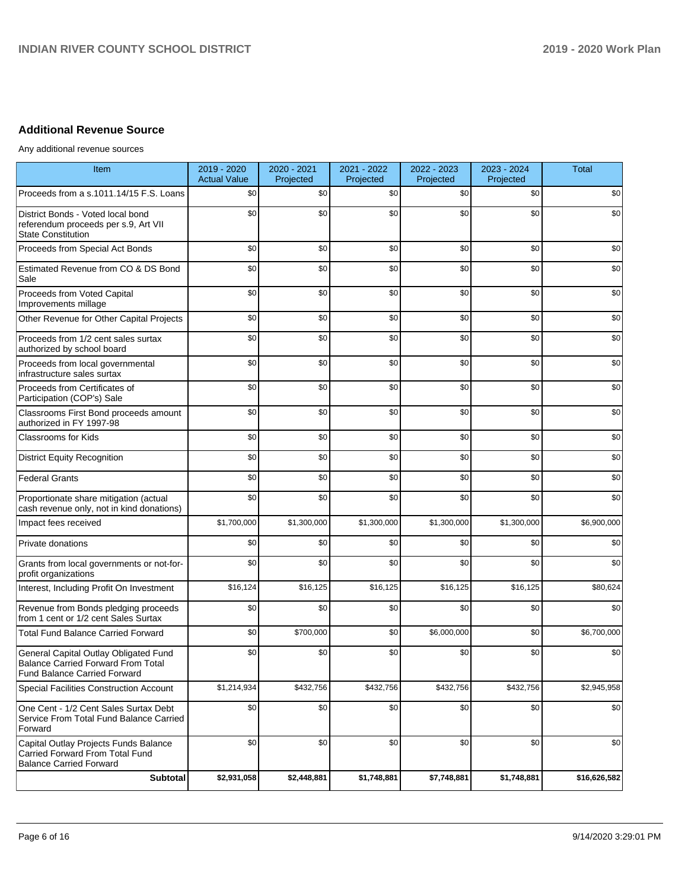# **Additional Revenue Source**

Any additional revenue sources

| Item                                                                                                                      | 2019 - 2020<br><b>Actual Value</b> | 2020 - 2021<br>Projected | 2021 - 2022<br>Projected | 2022 - 2023<br>Projected | 2023 - 2024<br>Projected | <b>Total</b> |
|---------------------------------------------------------------------------------------------------------------------------|------------------------------------|--------------------------|--------------------------|--------------------------|--------------------------|--------------|
| Proceeds from a s.1011.14/15 F.S. Loans                                                                                   | \$0                                | \$0                      | \$0                      | \$0                      | \$0                      | \$0          |
| District Bonds - Voted local bond<br>referendum proceeds per s.9, Art VII<br><b>State Constitution</b>                    | \$0                                | \$0                      | \$0                      | \$0                      | \$0                      | \$0          |
| Proceeds from Special Act Bonds                                                                                           | \$0                                | \$0                      | \$0                      | \$0                      | \$0                      | \$0          |
| Estimated Revenue from CO & DS Bond<br>Sale                                                                               | \$0                                | \$0                      | \$0                      | \$0                      | \$0                      | \$0          |
| Proceeds from Voted Capital<br>Improvements millage                                                                       | \$0                                | \$0                      | \$0                      | \$0                      | \$0                      | \$0          |
| Other Revenue for Other Capital Projects                                                                                  | \$0                                | \$0                      | \$0                      | \$0                      | \$0                      | \$0          |
| Proceeds from 1/2 cent sales surtax<br>authorized by school board                                                         | \$0                                | \$0                      | \$0                      | \$0                      | \$0                      | \$0          |
| Proceeds from local governmental<br>infrastructure sales surtax                                                           | \$0                                | \$0                      | \$0                      | \$0                      | \$0                      | \$0          |
| Proceeds from Certificates of<br>Participation (COP's) Sale                                                               | \$0                                | \$0                      | \$0                      | \$0                      | \$0                      | \$0          |
| Classrooms First Bond proceeds amount<br>authorized in FY 1997-98                                                         | \$0                                | \$0                      | \$0                      | \$0                      | \$0                      | \$0          |
| Classrooms for Kids                                                                                                       | \$0                                | \$0                      | \$0                      | \$0                      | \$0                      | \$0          |
| <b>District Equity Recognition</b>                                                                                        | \$0                                | \$0                      | \$0                      | \$0                      | \$0                      | \$0          |
| <b>Federal Grants</b>                                                                                                     | \$0                                | \$0                      | \$0                      | \$0                      | \$0                      | \$0          |
| Proportionate share mitigation (actual<br>cash revenue only, not in kind donations)                                       | \$0                                | \$0                      | \$0                      | \$0                      | \$0                      | \$0          |
| Impact fees received                                                                                                      | \$1,700,000                        | \$1,300,000              | \$1,300,000              | \$1,300,000              | \$1,300,000              | \$6,900,000  |
| Private donations                                                                                                         | \$0                                | \$0                      | \$0                      | \$0                      | \$0                      | \$0          |
| Grants from local governments or not-for-<br>profit organizations                                                         | \$0                                | \$0                      | \$0                      | \$0                      | \$0                      | \$0          |
| Interest, Including Profit On Investment                                                                                  | \$16,124                           | \$16,125                 | \$16,125                 | \$16,125                 | \$16,125                 | \$80,624     |
| Revenue from Bonds pledging proceeds<br>from 1 cent or 1/2 cent Sales Surtax                                              | \$0                                | \$0                      | \$0                      | \$0                      | \$0                      | \$0          |
| <b>Total Fund Balance Carried Forward</b>                                                                                 | \$0                                | \$700,000                | \$0                      | \$6,000,000              | \$0                      | \$6,700,000  |
| General Capital Outlay Obligated Fund<br><b>Balance Carried Forward From Total</b><br><b>Fund Balance Carried Forward</b> | \$0                                | \$0                      | \$0                      | \$0                      | \$0                      | \$0          |
| Special Facilities Construction Account                                                                                   | \$1,214,934                        | \$432,756                | \$432,756                | \$432,756                | \$432,756                | \$2,945,958  |
| One Cent - 1/2 Cent Sales Surtax Debt<br>Service From Total Fund Balance Carried<br>Forward                               | \$0                                | \$0                      | \$0                      | \$0                      | \$0                      | \$0          |
| Capital Outlay Projects Funds Balance<br>Carried Forward From Total Fund<br><b>Balance Carried Forward</b>                | \$0                                | \$0                      | \$0                      | \$0                      | \$0                      | \$0          |
| Subtotal                                                                                                                  | \$2,931,058                        | \$2,448,881              | \$1,748,881              | \$7,748,881              | \$1,748,881              | \$16,626,582 |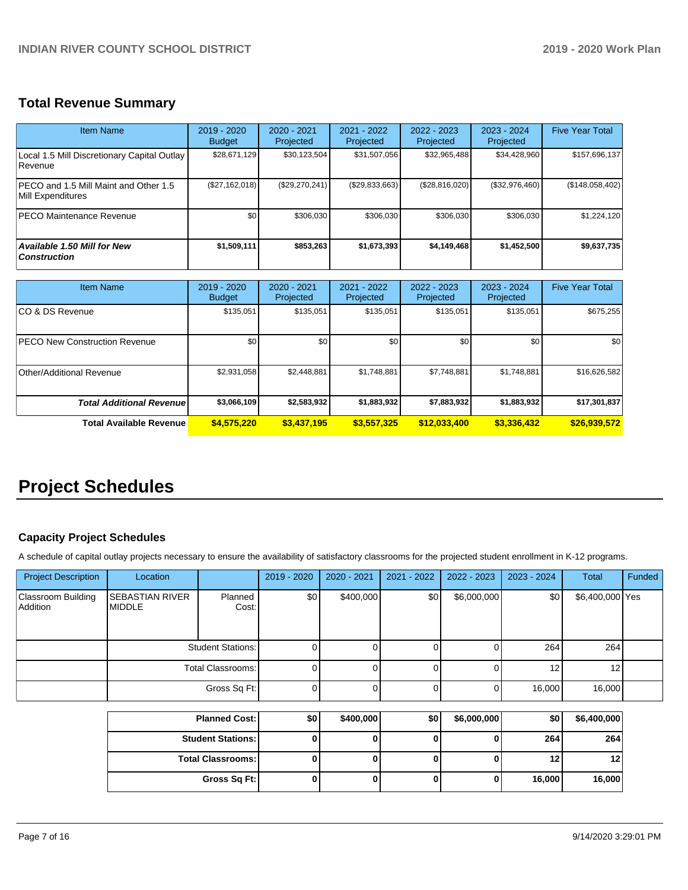# **Total Revenue Summary**

| Item Name                                                     | 2019 - 2020<br><b>Budget</b> | $2020 - 2021$<br>Projected | 2021 - 2022<br>Projected | $2022 - 2023$<br>Projected | $2023 - 2024$<br>Projected | <b>Five Year Total</b> |
|---------------------------------------------------------------|------------------------------|----------------------------|--------------------------|----------------------------|----------------------------|------------------------|
| Local 1.5 Mill Discretionary Capital Outlay<br><b>Revenue</b> | \$28,671,129                 | \$30,123,504               | \$31,507,056             | \$32,965,488               | \$34,428,960               | \$157,696,137          |
| IPECO and 1.5 Mill Maint and Other 1.5<br>Mill Expenditures   | (S27, 162, 018)              | (\$29,270,241)             | (\$29,833,663)           | (\$28,816,020)             | (\$32,976,460)             | (\$148,058,402)        |
| <b>PECO Maintenance Revenue</b>                               | \$0                          | \$306.030                  | \$306.030                | \$306.030                  | \$306.030                  | \$1,224,120            |
| <b>Available 1.50 Mill for New</b><br><b>Construction</b>     | \$1,509,111                  | \$853.263                  | \$1.673.393              | \$4,149,468                | \$1,452,500                | \$9,637,735            |

| <b>Item Name</b>                     | $2019 - 2020$<br><b>Budget</b> | $2020 - 2021$<br>Projected | $2021 - 2022$<br>Projected | 2022 - 2023<br>Projected | 2023 - 2024<br>Projected | <b>Five Year Total</b> |
|--------------------------------------|--------------------------------|----------------------------|----------------------------|--------------------------|--------------------------|------------------------|
| ICO & DS Revenue                     | \$135,051                      | \$135,051                  | \$135,051                  | \$135,051                | \$135,051                | \$675,255              |
| <b>PECO New Construction Revenue</b> | \$0                            | \$0 <sub>1</sub>           | \$0                        | \$0                      | \$0                      | \$0                    |
| Other/Additional Revenue             | \$2,931,058                    | \$2,448,881                | \$1,748,881                | \$7,748,881              | \$1,748,881              | \$16,626,582           |
| <b>Total Additional Revenuel</b>     | \$3,066,109                    | \$2,583,932                | \$1,883,932                | \$7,883,932              | \$1,883,932              | \$17,301,837           |
| Total Available Revenue              | \$4,575,220                    | \$3,437,195                | \$3,557,325                | \$12,033,400             | \$3,336,432              | \$26,939,572           |

# **Project Schedules**

## **Capacity Project Schedules**

A schedule of capital outlay projects necessary to ensure the availability of satisfactory classrooms for the projected student enrollment in K-12 programs.

| <b>Project Description</b>     | Location                                |                  | 2019 - 2020 | 2020 - 2021 | 2021 - 2022 | $2022 - 2023$ | 2023 - 2024 | Total           | Funded |
|--------------------------------|-----------------------------------------|------------------|-------------|-------------|-------------|---------------|-------------|-----------------|--------|
| Classroom Building<br>Addition | <b>SEBASTIAN RIVER</b><br><b>MIDDLE</b> | Planned<br>Cost: | \$0         | \$400,000   | \$0         | \$6,000,000   | \$0         | \$6,400,000 Yes |        |
|                                | <b>Student Stations:</b>                |                  |             |             |             |               | 264         | 264             |        |
|                                | Total Classrooms:                       |                  |             |             |             |               | 12          | 12              |        |
|                                |                                         | Gross Sq Ft:     | 0           |             |             |               | 16,000      | 16,000          |        |

| <b>Planned Cost: I</b>     | \$0 | \$400,000 | \$0 | \$6,000,000 | \$0    | \$6,400,000 |
|----------------------------|-----|-----------|-----|-------------|--------|-------------|
| <b>Student Stations: I</b> |     |           |     |             | 264    | 264         |
| <b>Total Classrooms:</b>   |     |           |     |             | 12     | 12          |
| Gross Sq Ft:               |     |           |     | υ           | 16,000 | 16,000      |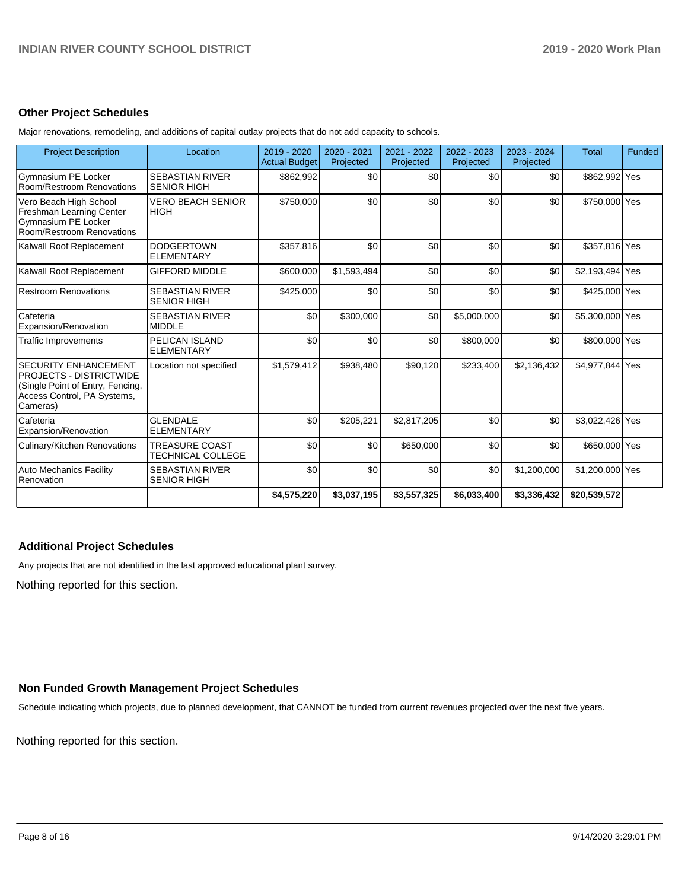#### **Other Project Schedules**

Major renovations, remodeling, and additions of capital outlay projects that do not add capacity to schools.

| <b>Project Description</b>                                                                                                                   | Location                                          | 2019 - 2020<br><b>Actual Budget</b> | 2020 - 2021<br>Projected | 2021 - 2022<br>Projected | 2022 - 2023<br>Projected | 2023 - 2024<br>Projected | <b>Total</b>    | Funded |
|----------------------------------------------------------------------------------------------------------------------------------------------|---------------------------------------------------|-------------------------------------|--------------------------|--------------------------|--------------------------|--------------------------|-----------------|--------|
| Gymnasium PE Locker<br>Room/Restroom Renovations                                                                                             | <b>SEBASTIAN RIVER</b><br><b>SENIOR HIGH</b>      | \$862,992                           | \$0                      | \$0                      | \$0                      | \$0                      | \$862,992 Yes   |        |
| Vero Beach High School<br>Freshman Learning Center<br>Gymnasium PE Locker<br>Room/Restroom Renovations                                       | <b>VERO BEACH SENIOR</b><br><b>HIGH</b>           | \$750,000                           | \$0                      | \$0                      | \$0                      | \$0                      | \$750,000 Yes   |        |
| Kalwall Roof Replacement                                                                                                                     | <b>DODGERTOWN</b><br><b>ELEMENTARY</b>            | \$357,816                           | \$0                      | \$0                      | \$0                      | \$0                      | \$357,816 Yes   |        |
| Kalwall Roof Replacement                                                                                                                     | <b>GIFFORD MIDDLE</b>                             | \$600,000                           | \$1,593,494              | \$0                      | \$0                      | \$0                      | \$2,193,494 Yes |        |
| <b>Restroom Renovations</b>                                                                                                                  | <b>SEBASTIAN RIVER</b><br><b>SENIOR HIGH</b>      | \$425,000                           | \$0                      | \$0                      | \$0                      | \$0                      | \$425,000 Yes   |        |
| Cafeteria<br>Expansion/Renovation                                                                                                            | <b>SEBASTIAN RIVER</b><br><b>MIDDLE</b>           | \$0                                 | \$300,000                | \$0                      | \$5,000,000              | \$0                      | \$5,300,000 Yes |        |
| <b>Traffic Improvements</b>                                                                                                                  | PELICAN ISLAND<br><b>ELEMENTARY</b>               | \$0                                 | \$0                      | \$0                      | \$800,000                | \$0                      | \$800,000 Yes   |        |
| <b>SECURITY ENHANCEMENT</b><br><b>PROJECTS - DISTRICTWIDE</b><br>(Single Point of Entry, Fencing,<br>Access Control, PA Systems,<br>Cameras) | Location not specified                            | \$1,579,412                         | \$938,480                | \$90,120                 | \$233,400                | \$2,136,432              | \$4,977,844 Yes |        |
| Cafeteria<br>Expansion/Renovation                                                                                                            | <b>GLENDALE</b><br><b>ELEMENTARY</b>              | \$0                                 | \$205,221                | \$2,817,205              | \$0                      | \$0                      | \$3,022,426 Yes |        |
| Culinary/Kitchen Renovations                                                                                                                 | <b>TREASURE COAST</b><br><b>TECHNICAL COLLEGE</b> | \$0                                 | \$0                      | \$650,000                | \$0                      | \$0                      | \$650,000 Yes   |        |
| <b>Auto Mechanics Facility</b><br>Renovation                                                                                                 | <b>SEBASTIAN RIVER</b><br><b>SENIOR HIGH</b>      | \$0                                 | \$0                      | \$0                      | \$0                      | \$1,200,000              | \$1,200,000 Yes |        |
|                                                                                                                                              |                                                   | \$4,575,220                         | \$3,037,195              | \$3,557,325              | \$6,033,400              | \$3,336,432              | \$20,539,572    |        |

## **Additional Project Schedules**

Any projects that are not identified in the last approved educational plant survey.

Nothing reported for this section.

# **Non Funded Growth Management Project Schedules**

Schedule indicating which projects, due to planned development, that CANNOT be funded from current revenues projected over the next five years.

Nothing reported for this section.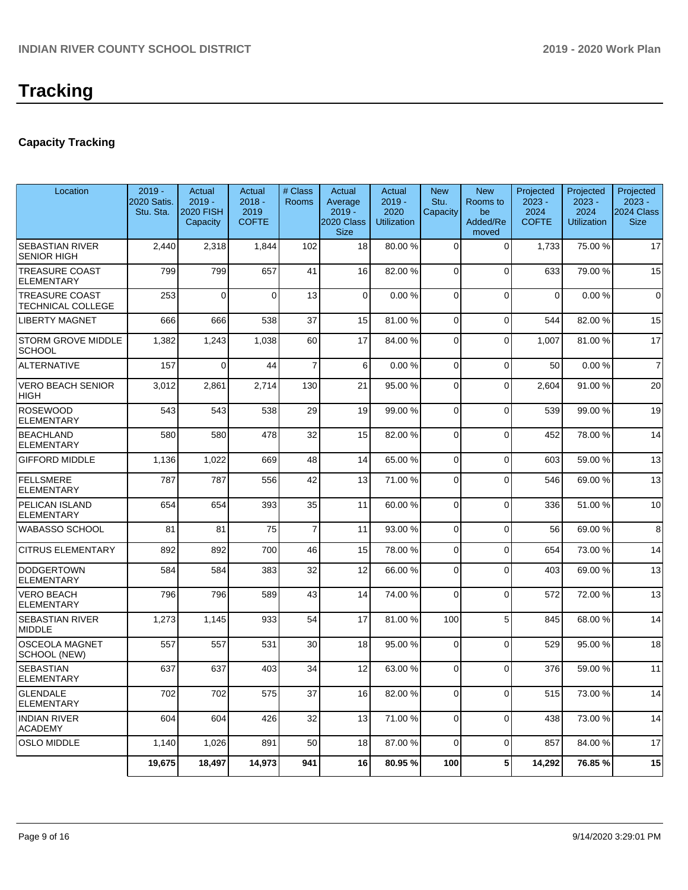# **Capacity Tracking**

| Location                                          | $2019 -$<br>2020 Satis.<br>Stu. Sta. | Actual<br>$2019 -$<br><b>2020 FISH</b><br>Capacity | Actual<br>$2018 -$<br>2019<br><b>COFTE</b> | # Class<br>Rooms | Actual<br>Average<br>$2019 -$<br>2020 Class<br><b>Size</b> | Actual<br>$2019 -$<br>2020<br><b>Utilization</b> | <b>New</b><br>Stu.<br>Capacity | <b>New</b><br>Rooms to<br>be<br>Added/Re<br>moved | Projected<br>$2023 -$<br>2024<br><b>COFTE</b> | Projected<br>$2023 -$<br>2024<br><b>Utilization</b> | Projected<br>$2023 -$<br>2024 Class<br><b>Size</b> |
|---------------------------------------------------|--------------------------------------|----------------------------------------------------|--------------------------------------------|------------------|------------------------------------------------------------|--------------------------------------------------|--------------------------------|---------------------------------------------------|-----------------------------------------------|-----------------------------------------------------|----------------------------------------------------|
| <b>SEBASTIAN RIVER</b><br><b>SENIOR HIGH</b>      | 2,440                                | 2,318                                              | 1,844                                      | 102              | 18                                                         | 80.00 %                                          | $\Omega$                       | $\Omega$                                          | 1,733                                         | 75.00 %                                             | 17                                                 |
| <b>TREASURE COAST</b><br><b>ELEMENTARY</b>        | 799                                  | 799                                                | 657                                        | 41               | 16                                                         | 82.00 %                                          | $\Omega$                       | $\Omega$                                          | 633                                           | 79.00 %                                             | 15                                                 |
| <b>TREASURE COAST</b><br><b>TECHNICAL COLLEGE</b> | 253                                  | $\mathbf 0$                                        | $\Omega$                                   | 13               | $\mathbf 0$                                                | 0.00%                                            | $\mathbf 0$                    | $\Omega$                                          | $\Omega$                                      | 0.00%                                               | $\mathbf 0$                                        |
| <b>LIBERTY MAGNET</b>                             | 666                                  | 666                                                | 538                                        | 37               | 15                                                         | 81.00%                                           | $\Omega$                       | $\Omega$                                          | 544                                           | 82.00 %                                             | 15                                                 |
| <b>STORM GROVE MIDDLE</b><br><b>SCHOOL</b>        | 1,382                                | 1,243                                              | 1,038                                      | 60               | 17                                                         | 84.00 %                                          | $\Omega$                       | $\Omega$                                          | 1,007                                         | 81.00%                                              | 17                                                 |
| <b>ALTERNATIVE</b>                                | 157                                  | $\Omega$                                           | 44                                         | $\overline{7}$   | 6                                                          | 0.00%                                            | 0                              | $\Omega$                                          | 50                                            | 0.00%                                               | $\overline{7}$                                     |
| <b>VERO BEACH SENIOR</b><br><b>HIGH</b>           | 3,012                                | 2,861                                              | 2,714                                      | 130              | 21                                                         | 95.00 %                                          | $\Omega$                       | $\Omega$                                          | 2,604                                         | 91.00%                                              | 20                                                 |
| ROSEWOOD<br><b>ELEMENTARY</b>                     | 543                                  | 543                                                | 538                                        | 29               | 19                                                         | 99.00 %                                          | $\mathbf 0$                    | $\Omega$                                          | 539                                           | 99.00 %                                             | 19                                                 |
| <b>BEACHLAND</b><br><b>ELEMENTARY</b>             | 580                                  | 580                                                | 478                                        | 32               | 15                                                         | 82.00 %                                          | $\Omega$                       | $\Omega$                                          | 452                                           | 78.00 %                                             | 14                                                 |
| <b>GIFFORD MIDDLE</b>                             | 1,136                                | 1,022                                              | 669                                        | 48               | 14                                                         | 65.00 %                                          | 0                              | $\Omega$                                          | 603                                           | 59.00 %                                             | 13                                                 |
| FELLSMERE<br><b>ELEMENTARY</b>                    | 787                                  | 787                                                | 556                                        | 42               | 13                                                         | 71.00%                                           | 0                              | $\Omega$                                          | 546                                           | 69.00 %                                             | 13                                                 |
| PELICAN ISLAND<br><b>ELEMENTARY</b>               | 654                                  | 654                                                | 393                                        | 35               | 11                                                         | 60.00 %                                          | $\mathbf 0$                    | $\Omega$                                          | 336                                           | 51.00 %                                             | 10                                                 |
| <b>WABASSO SCHOOL</b>                             | 81                                   | 81                                                 | 75                                         | $\overline{7}$   | 11                                                         | 93.00 %                                          | 0                              | $\Omega$                                          | 56                                            | 69.00 %                                             | 8                                                  |
| <b>CITRUS ELEMENTARY</b>                          | 892                                  | 892                                                | 700                                        | 46               | 15                                                         | 78.00 %                                          | $\Omega$                       | $\Omega$                                          | 654                                           | 73.00 %                                             | 14                                                 |
| <b>DODGERTOWN</b><br>ELEMENTARY                   | 584                                  | 584                                                | 383                                        | 32               | 12                                                         | 66.00 %                                          | $\Omega$                       | $\Omega$                                          | 403                                           | 69.00 %                                             | 13                                                 |
| <b>VERO BEACH</b><br>ELEMENTARY                   | 796                                  | 796                                                | 589                                        | 43               | 14                                                         | 74.00 %                                          | $\Omega$                       | $\Omega$                                          | 572                                           | 72.00 %                                             | 13                                                 |
| <b>SEBASTIAN RIVER</b><br>MIDDLE                  | 1,273                                | 1,145                                              | 933                                        | 54               | 17                                                         | 81.00%                                           | 100                            | 5                                                 | 845                                           | 68.00 %                                             | 14                                                 |
| <b>OSCEOLA MAGNET</b><br>SCHOOL (NEW)             | 557                                  | 557                                                | 531                                        | 30               | 18                                                         | 95.00 %                                          | $\Omega$                       | $\Omega$                                          | 529                                           | 95.00 %                                             | 18                                                 |
| SEBASTIAN<br><b>ELEMENTARY</b>                    | 637                                  | 637                                                | 403                                        | 34               | 12                                                         | 63.00 %                                          | $\Omega$                       | $\Omega$                                          | 376                                           | 59.00 %                                             | 11                                                 |
| GLENDALE<br>ELEMENTARY                            | 702                                  | 702                                                | 575                                        | 37               | 16                                                         | 82.00%                                           | 0                              | $\overline{0}$                                    | 515                                           | 73.00 %                                             | 14                                                 |
| <b>INDIAN RIVER</b><br>ACADEMY                    | 604                                  | 604                                                | 426                                        | 32               | 13                                                         | 71.00 %                                          | 0                              | $\Omega$                                          | 438                                           | 73.00 %                                             | 14                                                 |
| OSLO MIDDLE                                       | 1,140                                | 1,026                                              | 891                                        | 50               | 18                                                         | 87.00 %                                          | $\mathbf 0$                    | $\overline{0}$                                    | 857                                           | 84.00 %                                             | 17                                                 |
|                                                   | 19,675                               | 18,497                                             | 14,973                                     | 941              | 16                                                         | 80.95%                                           | 100                            | 5 <sub>5</sub>                                    | 14,292                                        | 76.85%                                              | 15                                                 |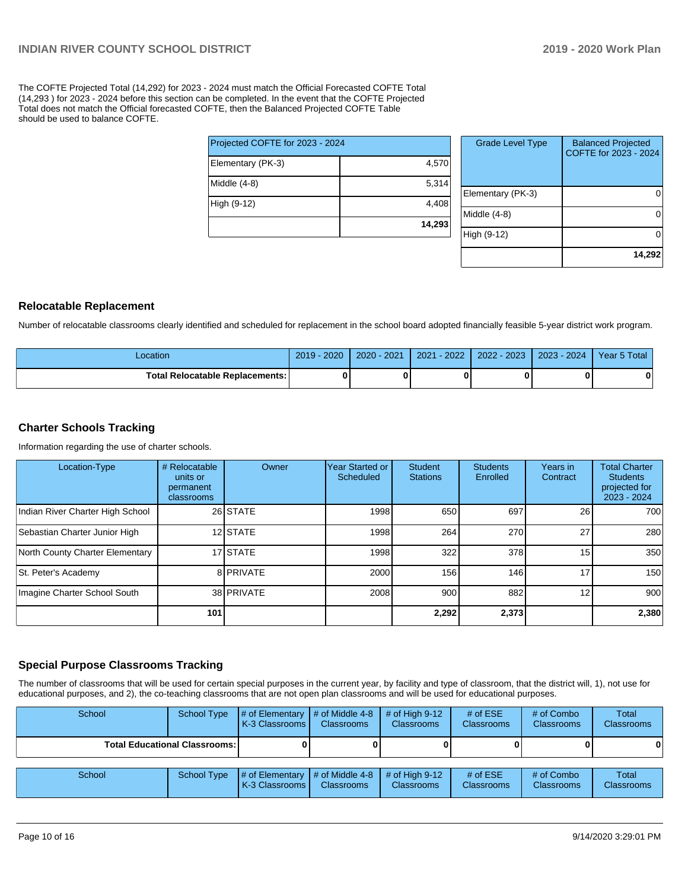The COFTE Projected Total (14,292) for 2023 - 2024 must match the Official Forecasted COFTE Total (14,293 ) for 2023 - 2024 before this section can be completed. In the event that the COFTE Projected Total does not match the Official forecasted COFTE, then the Balanced Projected COFTE Table should be used to balance COFTE.

| Projected COFTE for 2023 - 2024 |        |
|---------------------------------|--------|
| Elementary (PK-3)               | 4,570  |
| Middle (4-8)                    | 5,314  |
| High (9-12)                     | 4,408  |
|                                 | 14,293 |

| <b>Grade Level Type</b> | <b>Balanced Projected</b><br>COFTE for 2023 - 2024 |
|-------------------------|----------------------------------------------------|
| Elementary (PK-3)       |                                                    |
| Middle $(4-8)$          |                                                    |
| High (9-12)             |                                                    |
|                         | 14,292                                             |

#### **Relocatable Replacement**

Number of relocatable classrooms clearly identified and scheduled for replacement in the school board adopted financially feasible 5-year district work program.

| Location                               | 2020<br>2019 | $2020 - 2021$ | $-2022$<br>2021 | 2022 - 2023 | $2023 - 2024$ | Year 5 Total |
|----------------------------------------|--------------|---------------|-----------------|-------------|---------------|--------------|
| <b>Total Relocatable Replacements:</b> |              |               |                 |             |               |              |

#### **Charter Schools Tracking**

Information regarding the use of charter schools.

| Location-Type                    | # Relocatable<br>units or<br>permanent<br>classrooms | Owner      | Year Started or<br>Scheduled | <b>Student</b><br><b>Stations</b> | <b>Students</b><br>Enrolled | Years in<br>Contract | <b>Total Charter</b><br><b>Students</b><br>projected for<br>2023 - 2024 |
|----------------------------------|------------------------------------------------------|------------|------------------------------|-----------------------------------|-----------------------------|----------------------|-------------------------------------------------------------------------|
| Indian River Charter High School |                                                      | 26 STATE   | 1998                         | 650                               | 697                         | 26                   | 700                                                                     |
| Sebastian Charter Junior High    |                                                      | 12 STATE   | 1998                         | 264                               | 270                         | 27                   | 280                                                                     |
| North County Charter Elementary  |                                                      | 17 STATE   | 1998                         | 322                               | 378                         | 15                   | 350                                                                     |
| St. Peter's Academy              |                                                      | 8 PRIVATE  | 2000                         | 156                               | 146                         | 17                   | 150                                                                     |
| Imagine Charter School South     |                                                      | 38 PRIVATE | 2008                         | 900                               | 882                         | 12 <sub>1</sub>      | 900                                                                     |
|                                  | 101                                                  |            |                              | 2,292                             | 2,373                       |                      | 2,380                                                                   |

#### **Special Purpose Classrooms Tracking**

The number of classrooms that will be used for certain special purposes in the current year, by facility and type of classroom, that the district will, 1), not use for educational purposes, and 2), the co-teaching classrooms that are not open plan classrooms and will be used for educational purposes.

| School                                 | School Type | $#$ of Elementary<br>K-3 Classrooms | $#$ of Middle 4-8<br><b>Classrooms</b>      | # of High $9-12$<br><b>Classrooms</b> | # of $ESE$<br><b>Classrooms</b> | # of Combo<br><b>Classrooms</b> | Total<br><b>Classrooms</b> |
|----------------------------------------|-------------|-------------------------------------|---------------------------------------------|---------------------------------------|---------------------------------|---------------------------------|----------------------------|
| <b>Total Educational Classrooms: I</b> |             |                                     |                                             |                                       |                                 |                                 | 0                          |
| School                                 | School Type | # of Elementary<br>K-3 Classrooms   | $\sharp$ of Middle 4-8<br><b>Classrooms</b> | $#$ of High 9-12<br><b>Classrooms</b> | # of $ESE$<br><b>Classrooms</b> | # of Combo<br><b>Classrooms</b> | Total<br><b>Classrooms</b> |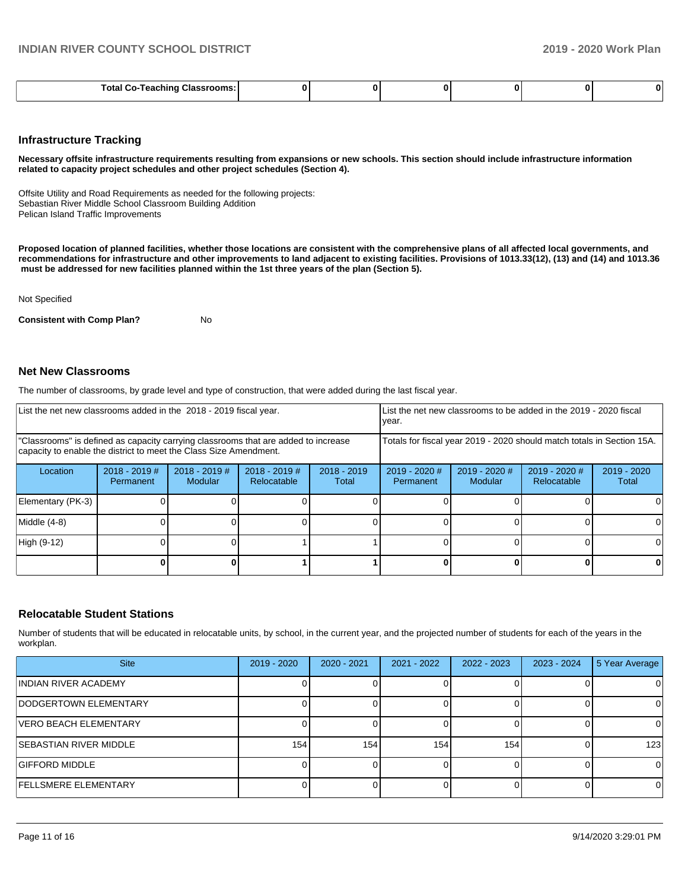| ssrooms:<br><b>Total Co-Teachir</b><br>⊶las'<br>- reacninc<br>. |  |  |  |  | o |  |
|-----------------------------------------------------------------|--|--|--|--|---|--|
|-----------------------------------------------------------------|--|--|--|--|---|--|

#### **Infrastructure Tracking**

**Necessary offsite infrastructure requirements resulting from expansions or new schools. This section should include infrastructure information related to capacity project schedules and other project schedules (Section 4).** 

Offsite Utility and Road Requirements as needed for the following projects: Sebastian River Middle School Classroom Building Addition Pelican Island Traffic Improvements

**Proposed location of planned facilities, whether those locations are consistent with the comprehensive plans of all affected local governments, and recommendations for infrastructure and other improvements to land adjacent to existing facilities. Provisions of 1013.33(12), (13) and (14) and 1013.36 must be addressed for new facilities planned within the 1st three years of the plan (Section 5).** 

Not Specified

**Consistent with Comp Plan?** No

#### **Net New Classrooms**

The number of classrooms, by grade level and type of construction, that were added during the last fiscal year.

| List the net new classrooms added in the 2018 - 2019 fiscal year.                                                                                       |                              |                                   |                                | year.                  |                                                                        | List the net new classrooms to be added in the 2019 - 2020 fiscal |   |   |
|---------------------------------------------------------------------------------------------------------------------------------------------------------|------------------------------|-----------------------------------|--------------------------------|------------------------|------------------------------------------------------------------------|-------------------------------------------------------------------|---|---|
| "Classrooms" is defined as capacity carrying classrooms that are added to increase<br>capacity to enable the district to meet the Class Size Amendment. |                              |                                   |                                |                        | Totals for fiscal year 2019 - 2020 should match totals in Section 15A. |                                                                   |   |   |
| Location                                                                                                                                                | $2018 - 2019$ #<br>Permanent | $2018 - 2019$ #<br><b>Modular</b> | $2018 - 2019$ #<br>Relocatable | $2018 - 2019$<br>Total | $2019 - 2020$ #<br>Permanent                                           | $2019 - 2020$<br>Total                                            |   |   |
| Elementary (PK-3)                                                                                                                                       |                              |                                   |                                |                        |                                                                        |                                                                   |   |   |
| Middle (4-8)                                                                                                                                            |                              |                                   |                                |                        |                                                                        |                                                                   |   |   |
| High (9-12)                                                                                                                                             |                              |                                   |                                |                        |                                                                        |                                                                   |   |   |
|                                                                                                                                                         |                              |                                   |                                |                        |                                                                        |                                                                   | n | 0 |

#### **Relocatable Student Stations**

Number of students that will be educated in relocatable units, by school, in the current year, and the projected number of students for each of the years in the workplan.

| <b>Site</b>                   | 2019 - 2020 | $2020 - 2021$ | $2021 - 2022$ | $2022 - 2023$ | 2023 - 2024 | 5 Year Average |
|-------------------------------|-------------|---------------|---------------|---------------|-------------|----------------|
| INDIAN RIVER ACADEMY          |             |               |               |               |             |                |
| IDODGERTOWN ELEMENTARY        |             |               |               |               |             | ΩI             |
| VERO BEACH ELEMENTARY         |             |               |               |               |             | ΟI             |
| <b>SEBASTIAN RIVER MIDDLE</b> | 154         | 154           | 154           | 154.          |             | 123            |
| <b>GIFFORD MIDDLE</b>         |             |               |               |               |             | 0              |
| <b>FELLSMERE ELEMENTARY</b>   |             |               |               |               |             | $\Omega$       |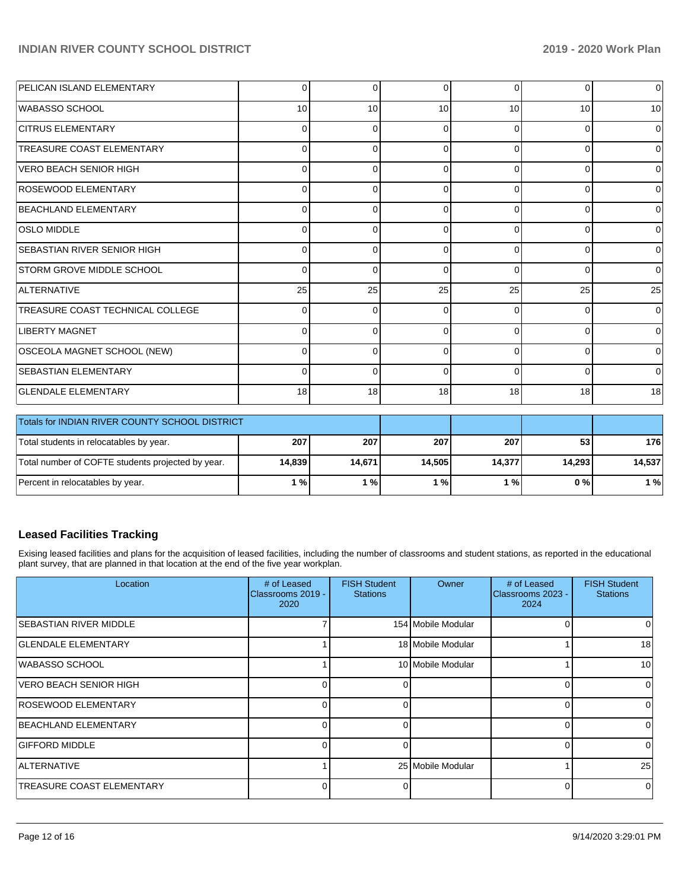| PELICAN ISLAND ELEMENTARY          | $\Omega$        | 0        | $\Omega$ | $\Omega$ | $\Omega$ | 0        |
|------------------------------------|-----------------|----------|----------|----------|----------|----------|
| WABASSO SCHOOL                     | 10 <sup>1</sup> | 10       | 10       | 10       | 10       | 10       |
| <b>CITRUS ELEMENTARY</b>           | 0               | 0        | ∩        | $\Omega$ | $\Omega$ | 0        |
| <b>TREASURE COAST ELEMENTARY</b>   | $\overline{0}$  | 0        | 0        | $\Omega$ | $\Omega$ | $\Omega$ |
| VERO BEACH SENIOR HIGH             | $\Omega$        | 0        | 0        | 0        | $\Omega$ | 0        |
| <b>ROSEWOOD ELEMENTARY</b>         | $\Omega$        | U        | ∩        | 0        | $\Omega$ | 0        |
| BEACHLAND ELEMENTARY               | $\Omega$        | 0        | O        | 0        | $\Omega$ | $\Omega$ |
| <b>OSLO MIDDLE</b>                 | $\overline{0}$  | 0        | 0        | $\Omega$ | $\Omega$ | 0        |
| <b>SEBASTIAN RIVER SENIOR HIGH</b> | $\Omega$        | 0        | $\Omega$ | $\Omega$ | $\Omega$ | 0        |
| <b>STORM GROVE MIDDLE SCHOOL</b>   | $\Omega$        | 0        | ∩        | 0        | $\Omega$ | 0        |
| ALTERNATIVE                        | 25              | 25       | 25       | 25       | 25       | 25       |
| TREASURE COAST TECHNICAL COLLEGE   | $\Omega$        | $\Omega$ | ∩        | $\Omega$ | $\Omega$ | $\Omega$ |
| <b>LIBERTY MAGNET</b>              | $\Omega$        | $\Omega$ |          | $\Omega$ | $\Omega$ | 0        |
| OSCEOLA MAGNET SCHOOL (NEW)        | $\overline{0}$  | 0        | 0        | $\Omega$ | $\Omega$ | $\Omega$ |
| <b>SEBASTIAN ELEMENTARY</b>        | $\Omega$        | $\Omega$ | O        | $\Omega$ | $\Omega$ | $\Omega$ |
| <b>GLENDALE ELEMENTARY</b>         | 18 <sup>1</sup> | 18       | 18       | 18       | 18       | 18       |

| Totals for INDIAN RIVER COUNTY SCHOOL DISTRICT    |        |        |                           |        |        |        |
|---------------------------------------------------|--------|--------|---------------------------|--------|--------|--------|
| Total students in relocatables by year.           | 207    | 207    | 207                       | 207    | 53     | 176    |
| Total number of COFTE students projected by year. | 14.839 | 14,671 | 14.505                    | 14,377 | 14.293 | 14,537 |
| Percent in relocatables by year.                  | 1 % I  | 1%1    | $^{\prime}$ % $^{\prime}$ | 1 % I  | 0 % I  | 1%     |

# **Leased Facilities Tracking**

Exising leased facilities and plans for the acquisition of leased facilities, including the number of classrooms and student stations, as reported in the educational plant survey, that are planned in that location at the end of the five year workplan.

| Location                         | # of Leased<br>Classrooms 2019 -<br>2020 | <b>FISH Student</b><br><b>Stations</b> | Owner              | # of Leased<br>Classrooms 2023 -<br>2024 | <b>FISH Student</b><br><b>Stations</b> |
|----------------------------------|------------------------------------------|----------------------------------------|--------------------|------------------------------------------|----------------------------------------|
| ISEBASTIAN RIVER MIDDLE          |                                          |                                        | 154 Mobile Modular |                                          | 0                                      |
| <b>GLENDALE ELEMENTARY</b>       |                                          |                                        | 18 Mobile Modular  |                                          | 18                                     |
| WABASSO SCHOOL                   |                                          |                                        | 10 Mobile Modular  |                                          | 10                                     |
| IVERO BEACH SENIOR HIGH          | U                                        | 0                                      |                    |                                          | 0                                      |
| <b>ROSEWOOD ELEMENTARY</b>       | 0                                        | ΩI                                     |                    |                                          | 0                                      |
| BEACHLAND ELEMENTARY             | U.                                       | ΩI                                     |                    |                                          | 0                                      |
| <b>GIFFORD MIDDLE</b>            |                                          | U.                                     |                    | U                                        | 0                                      |
| <b>ALTERNATIVE</b>               |                                          |                                        | 25 Mobile Modular  |                                          | 25                                     |
| <b>TREASURE COAST ELEMENTARY</b> | n                                        | 0                                      |                    |                                          | 0                                      |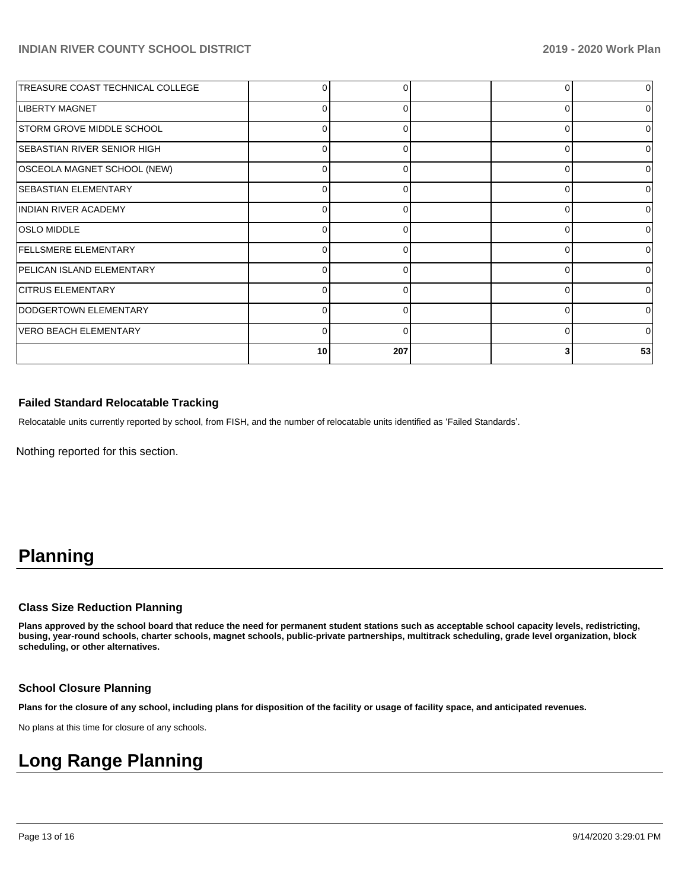| TREASURE COAST TECHNICAL COLLEGE   |              | 0        | 0        |    |
|------------------------------------|--------------|----------|----------|----|
| <b>LIBERTY MAGNET</b>              | 0            |          | 0        |    |
| <b>STORM GROVE MIDDLE SCHOOL</b>   | 0            | $\Omega$ | 0        |    |
| <b>SEBASTIAN RIVER SENIOR HIGH</b> | 0            | 0        | 0        |    |
| OSCEOLA MAGNET SCHOOL (NEW)        | 0            |          | 0        |    |
| <b>SEBASTIAN ELEMENTARY</b>        | 0            | $\Omega$ | 0        | ∩  |
| <b>INDIAN RIVER ACADEMY</b>        | 0            | 0        | 0        |    |
| <b>OSLO MIDDLE</b>                 | 0            |          | 0        |    |
| <b>FELLSMERE ELEMENTARY</b>        | $\Omega$     | O        | 0        | U  |
| PELICAN ISLAND ELEMENTARY          | 0            | 0        | 0        |    |
| <b>ICITRUS ELEMENTARY</b>          | 0            |          | $\Omega$ |    |
| DODGERTOWN ELEMENTARY              | <sup>0</sup> | ∩        | $\Omega$ | ∩  |
| VERO BEACH ELEMENTARY              | 0            | 0        | 0        | ∩  |
|                                    | 10           | 207      | 3        | 53 |

#### **Failed Standard Relocatable Tracking**

Relocatable units currently reported by school, from FISH, and the number of relocatable units identified as 'Failed Standards'.

Nothing reported for this section.

# **Planning**

#### **Class Size Reduction Planning**

**Plans approved by the school board that reduce the need for permanent student stations such as acceptable school capacity levels, redistricting, busing, year-round schools, charter schools, magnet schools, public-private partnerships, multitrack scheduling, grade level organization, block scheduling, or other alternatives.**

#### **School Closure Planning**

**Plans for the closure of any school, including plans for disposition of the facility or usage of facility space, and anticipated revenues.** 

No plans at this time for closure of any schools.

# **Long Range Planning**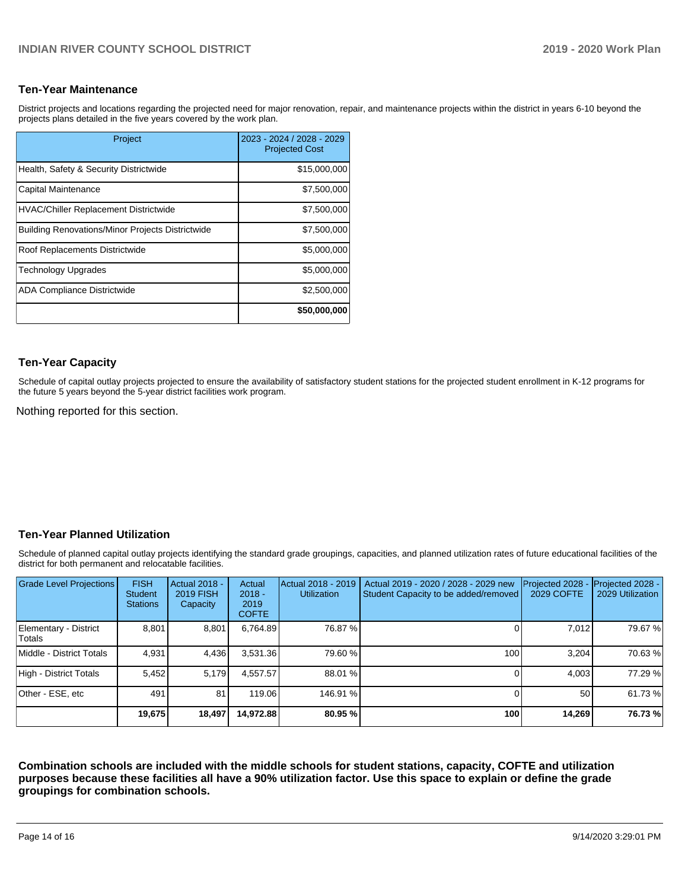#### **Ten-Year Maintenance**

District projects and locations regarding the projected need for major renovation, repair, and maintenance projects within the district in years 6-10 beyond the projects plans detailed in the five years covered by the work plan.

| Project                                                 | 2023 - 2024 / 2028 - 2029<br><b>Projected Cost</b> |
|---------------------------------------------------------|----------------------------------------------------|
| Health, Safety & Security Districtwide                  | \$15,000,000                                       |
| Capital Maintenance                                     | \$7,500,000                                        |
| <b>HVAC/Chiller Replacement Districtwide</b>            | \$7,500,000                                        |
| <b>Building Renovations/Minor Projects Districtwide</b> | \$7,500,000                                        |
| Roof Replacements Districtwide                          | \$5,000,000                                        |
| <b>Technology Upgrades</b>                              | \$5,000,000                                        |
| <b>ADA Compliance Districtwide</b>                      | \$2,500,000                                        |
|                                                         | \$50,000,000                                       |

#### **Ten-Year Capacity**

Schedule of capital outlay projects projected to ensure the availability of satisfactory student stations for the projected student enrollment in K-12 programs for the future 5 years beyond the 5-year district facilities work program.

Nothing reported for this section.

## **Ten-Year Planned Utilization**

Schedule of planned capital outlay projects identifying the standard grade groupings, capacities, and planned utilization rates of future educational facilities of the district for both permanent and relocatable facilities.

| Grade Level Projections         | <b>FISH</b><br><b>Student</b><br><b>Stations</b> | <b>Actual 2018 -</b><br><b>2019 FISH</b><br>Capacity | Actual<br>$2018 -$<br>2019<br><b>COFTE</b> | Actual 2018 - 2019<br><b>Utilization</b> | Actual 2019 - 2020 / 2028 - 2029 new<br>Student Capacity to be added/removed | Projected 2028<br><b>2029 COFTE</b> | Projected 2028 -<br>2029 Utilization |
|---------------------------------|--------------------------------------------------|------------------------------------------------------|--------------------------------------------|------------------------------------------|------------------------------------------------------------------------------|-------------------------------------|--------------------------------------|
| Elementary - District<br>Totals | 8,801                                            | 8,801                                                | 6,764.89                                   | 76.87 %                                  |                                                                              | 7.012                               | 79.67%                               |
| Middle - District Totals        | 4.931                                            | 4,436                                                | 3,531.36                                   | 79.60 %                                  | 100 <sub>1</sub>                                                             | 3.204                               | 70.63%                               |
| High - District Totals          | 5.452                                            | 5,179                                                | 4.557.57                                   | 88.01 %                                  |                                                                              | 4.003                               | 77.29 %                              |
| Other - ESE, etc                | 491                                              | 81                                                   | 119.06                                     | 146.91 %                                 |                                                                              | 50                                  | 61.73%                               |
|                                 | 19,675                                           | 18,497                                               | 14,972.88                                  | 80.95 %                                  | 100                                                                          | 14,269                              | 76.73%                               |

**Combination schools are included with the middle schools for student stations, capacity, COFTE and utilization purposes because these facilities all have a 90% utilization factor. Use this space to explain or define the grade groupings for combination schools.**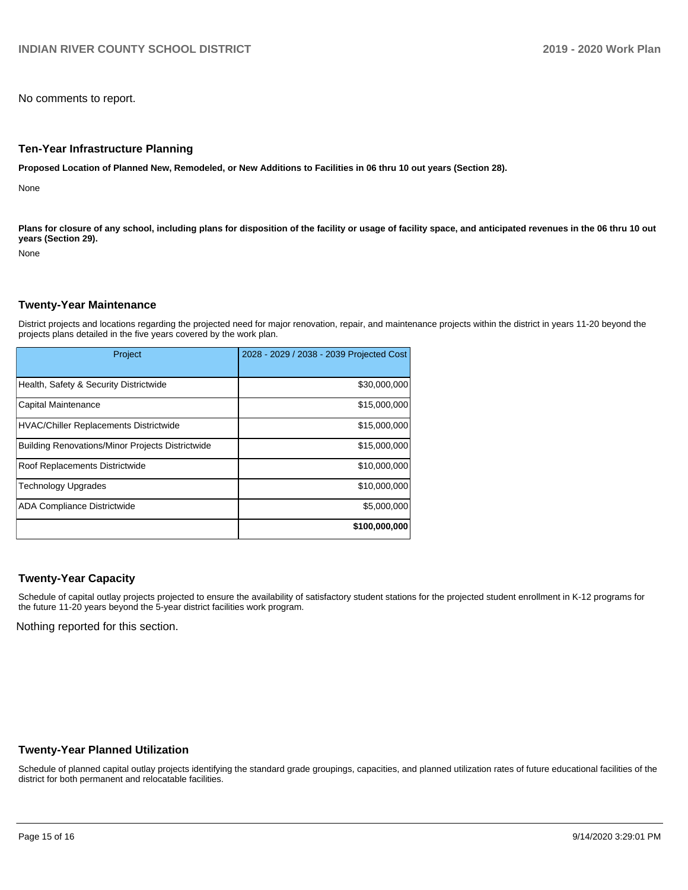No comments to report.

#### **Ten-Year Infrastructure Planning**

**Proposed Location of Planned New, Remodeled, or New Additions to Facilities in 06 thru 10 out years (Section 28).**

None

Plans for closure of any school, including plans for disposition of the facility or usage of facility space, and anticipated revenues in the 06 thru 10 out **years (Section 29).**

None

#### **Twenty-Year Maintenance**

District projects and locations regarding the projected need for major renovation, repair, and maintenance projects within the district in years 11-20 beyond the projects plans detailed in the five years covered by the work plan.

| Project                                                 | 2028 - 2029 / 2038 - 2039 Projected Cost |
|---------------------------------------------------------|------------------------------------------|
| Health, Safety & Security Districtwide                  | \$30,000,000                             |
| Capital Maintenance                                     | \$15,000,000                             |
| <b>HVAC/Chiller Replacements Districtwide</b>           | \$15,000,000                             |
| <b>Building Renovations/Minor Projects Districtwide</b> | \$15,000,000                             |
| Roof Replacements Districtwide                          | \$10,000,000                             |
| <b>Technology Upgrades</b>                              | \$10,000,000                             |
| <b>ADA Compliance Districtwide</b>                      | \$5,000,000                              |
|                                                         | \$100,000,000                            |

#### **Twenty-Year Capacity**

Schedule of capital outlay projects projected to ensure the availability of satisfactory student stations for the projected student enrollment in K-12 programs for the future 11-20 years beyond the 5-year district facilities work program.

Nothing reported for this section.

#### **Twenty-Year Planned Utilization**

Schedule of planned capital outlay projects identifying the standard grade groupings, capacities, and planned utilization rates of future educational facilities of the district for both permanent and relocatable facilities.